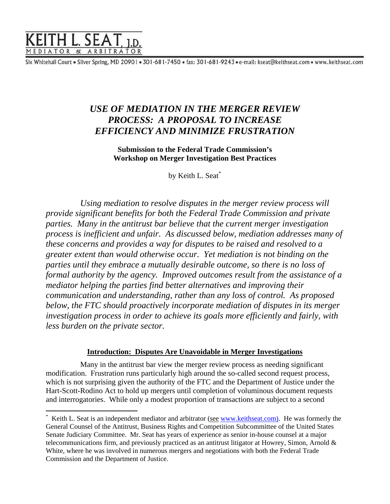

 $\overline{a}$ 

Six Whitehall Court = Silver Spring, MD 20901 = 301-681-7450 = fax: 301-681-9243 = e-mail: kseat@keithseat.com = www.keithseat.com

# *USE OF MEDIATION IN THE MERGER REVIEW PROCESS: A PROPOSAL TO INCREASE EFFICIENCY AND MINIMIZE FRUSTRATION*

**Submission to the Federal Trade Commission's Workshop on Merger Investigation Best Practices** 

by Keith L. Seat[\\*](#page-0-0)

*Using mediation to resolve disputes in the merger review process will provide significant benefits for both the Federal Trade Commission and private parties. Many in the antitrust bar believe that the current merger investigation process is inefficient and unfair. As discussed below, mediation addresses many of these concerns and provides a way for disputes to be raised and resolved to a greater extent than would otherwise occur. Yet mediation is not binding on the parties until they embrace a mutually desirable outcome, so there is no loss of formal authority by the agency. Improved outcomes result from the assistance of a mediator helping the parties find better alternatives and improving their communication and understanding, rather than any loss of control. As proposed below, the FTC should proactively incorporate mediation of disputes in its merger investigation process in order to achieve its goals more efficiently and fairly, with less burden on the private sector.* 

## **Introduction: Disputes Are Unavoidable in Merger Investigations**

Many in the antitrust bar view the merger review process as needing significant modification. Frustration runs particularly high around the so-called second request process, which is not surprising given the authority of the FTC and the Department of Justice under the Hart-Scott-Rodino Act to hold up mergers until completion of voluminous document requests and interrogatories. While only a modest proportion of transactions are subject to a second

<span id="page-0-0"></span><sup>\*</sup> Keith L. Seat is an independent mediator and arbitrator (see [www.keithseat.com\)](http://www.keithseat.com)/). He was formerly the General Counsel of the Antitrust, Business Rights and Competition Subcommittee of the United States Senate Judiciary Committee. Mr. Seat has years of experience as senior in-house counsel at a major telecommunications firm, and previously practiced as an antitrust litigator at Howrey, Simon, Arnold & White, where he was involved in numerous mergers and negotiations with both the Federal Trade Commission and the Department of Justice.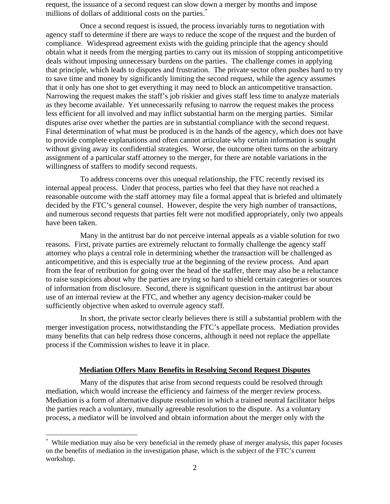request, the issuance of a second request can slow down a merger by months and impose millions of dollars of additional costs on the parties.<sup>[\\*](#page-1-0)</sup>

Once a second request is issued, the process invariably turns to negotiation with agency staff to determine if there are ways to reduce the scope of the request and the burden of compliance. Widespread agreement exists with the guiding principle that the agency should obtain what it needs from the merging parties to carry out its mission of stopping anticompetitive deals without imposing unnecessary burdens on the parties. The challenge comes in applying that principle, which leads to disputes and frustration. The private sector often pushes hard to try to save time and money by significantly limiting the second request, while the agency assumes that it only has one shot to get everything it may need to block an anticompetitive transaction. Narrowing the request makes the staff's job riskier and gives staff less time to analyze materials as they become available. Yet unnecessarily refusing to narrow the request makes the process less efficient for all involved and may inflict substantial harm on the merging parties. Similar disputes arise over whether the parties are in substantial compliance with the second request. Final determination of what must be produced is in the hands of the agency, which does not have to provide complete explanations and often cannot articulate why certain information is sought without giving away its confidential strategies. Worse, the outcome often turns on the arbitrary assignment of a particular staff attorney to the merger, for there are notable variations in the willingness of staffers to modify second requests.

To address concerns over this unequal relationship, the FTC recently revised its internal appeal process. Under that process, parties who feel that they have not reached a reasonable outcome with the staff attorney may file a formal appeal that is briefed and ultimately decided by the FTC's general counsel. However, despite the very high number of transactions, and numerous second requests that parties felt were not modified appropriately, only two appeals have been taken.

Many in the antitrust bar do not perceive internal appeals as a viable solution for two reasons. First, private parties are extremely reluctant to formally challenge the agency staff attorney who plays a central role in determining whether the transaction will be challenged as anticompetitive, and this is especially true at the beginning of the review process. And apart from the fear of retribution for going over the head of the staffer, there may also be a reluctance to raise suspicions about why the parties are trying so hard to shield certain categories or sources of information from disclosure. Second, there is significant question in the antitrust bar about use of an internal review at the FTC, and whether any agency decision-maker could be sufficiently objective when asked to overrule agency staff.

In short, the private sector clearly believes there is still a substantial problem with the merger investigation process, notwithstanding the FTC's appellate process. Mediation provides many benefits that can help redress those concerns, although it need not replace the appellate process if the Commission wishes to leave it in place.

#### **Mediation Offers Many Benefits in Resolving Second Request Disputes**

Many of the disputes that arise from second requests could be resolved through mediation, which would increase the efficiency and fairness of the merger review process. Mediation is a form of alternative dispute resolution in which a trained neutral facilitator helps the parties reach a voluntary, mutually agreeable resolution to the dispute. As a voluntary process, a mediator will be involved and obtain information about the merger only with the

1

<span id="page-1-0"></span><sup>\*</sup> While mediation may also be very beneficial in the remedy phase of merger analysis, this paper focuses on the benefits of mediation in the investigation phase, which is the subject of the FTC's current workshop.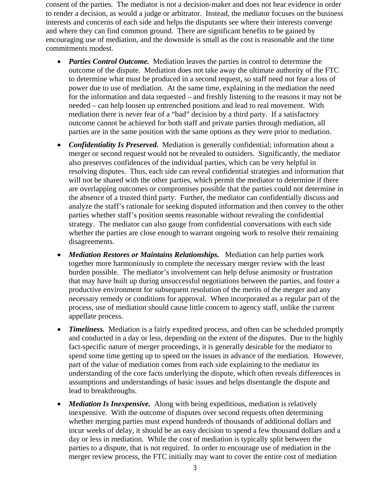consent of the parties. The mediator is not a decision-maker and does not hear evidence in order to render a decision, as would a judge or arbitrator. Instead, the mediator focuses on the business interests and concerns of each side and helps the disputants see where their interests converge and where they can find common ground. There are significant benefits to be gained by encouraging use of mediation, and the downside is small as the cost is reasonable and the time commitments modest.

- *Parties Control Outcome.* Mediation leaves the parties in control to determine the outcome of the dispute. Mediation does not take away the ultimate authority of the FTC to determine what must be produced in a second request, so staff need not fear a loss of power due to use of mediation. At the same time, explaining in the mediation the need for the information and data requested – and freshly listening to the reasons it may not be needed – can help loosen up entrenched positions and lead to real movement. With mediation there is never fear of a "bad" decision by a third party. If a satisfactory outcome cannot be achieved for both staff and private parties through mediation, all parties are in the same position with the same options as they were prior to mediation.
- *Confidentiality Is Preserved.* Mediation is generally confidential; information about a merger or second request would not be revealed to outsiders. Significantly, the mediator also preserves confidences of the individual parties, which can be very helpful in resolving disputes. Thus, each side can reveal confidential strategies and information that will not be shared with the other parties, which permit the mediator to determine if there are overlapping outcomes or compromises possible that the parties could not determine in the absence of a trusted third party. Further, the mediator can confidentially discuss and analyze the staff's rationale for seeking disputed information and then convey to the other parties whether staff's position seems reasonable without revealing the confidential strategy. The mediator can also gauge from confidential conversations with each side whether the parties are close enough to warrant ongoing work to resolve their remaining disagreements.
- *Mediation Restores or Maintains Relationships.* Mediation can help parties work together more harmoniously to complete the necessary merger review with the least burden possible. The mediator's involvement can help defuse animosity or frustration that may have built up during unsuccessful negotiations between the parties, and foster a productive environment for subsequent resolution of the merits of the merger and any necessary remedy or conditions for approval. When incorporated as a regular part of the process, use of mediation should cause little concern to agency staff, unlike the current appellate process.
- *Timeliness.* Mediation is a fairly expedited process, and often can be scheduled promptly and conducted in a day or less, depending on the extent of the disputes. Due to the highly fact-specific nature of merger proceedings, it is generally desirable for the mediator to spend some time getting up to speed on the issues in advance of the mediation. However, part of the value of mediation comes from each side explaining to the mediator its understanding of the core facts underlying the dispute, which often reveals differences in assumptions and understandings of basic issues and helps disentangle the dispute and lead to breakthroughs.
- *Mediation Is Inexpensive.* Along with being expeditious, mediation is relatively inexpensive. With the outcome of disputes over second requests often determining whether merging parties must expend hundreds of thousands of additional dollars and incur weeks of delay, it should be an easy decision to spend a few thousand dollars and a day or less in mediation. While the cost of mediation is typically split between the parties to a dispute, that is not required. In order to encourage use of mediation in the merger review process, the FTC initially may want to cover the entire cost of mediation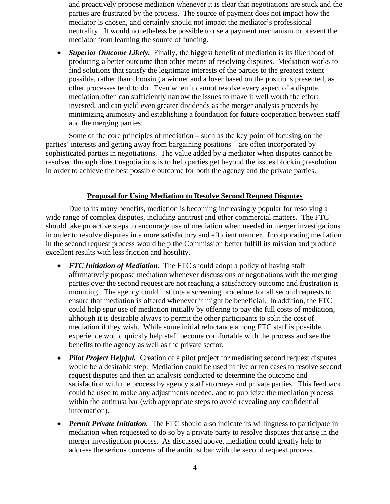and proactively propose mediation whenever it is clear that negotiations are stuck and the parties are frustrated by the process. The source of payment does not impact how the mediator is chosen, and certainly should not impact the mediator's professional neutrality. It would nonetheless be possible to use a payment mechanism to prevent the mediator from learning the source of funding.

• *Superior Outcome Likely.* Finally, the biggest benefit of mediation is its likelihood of producing a better outcome than other means of resolving disputes. Mediation works to find solutions that satisfy the legitimate interests of the parties to the greatest extent possible, rather than choosing a winner and a loser based on the positions presented, as other processes tend to do. Even when it cannot resolve every aspect of a dispute, mediation often can sufficiently narrow the issues to make it well worth the effort invested, and can yield even greater dividends as the merger analysis proceeds by minimizing animosity and establishing a foundation for future cooperation between staff and the merging parties.

Some of the core principles of mediation – such as the key point of focusing on the parties' interests and getting away from bargaining positions – are often incorporated by sophisticated parties in negotiations. The value added by a mediator when disputes cannot be resolved through direct negotiations is to help parties get beyond the issues blocking resolution in order to achieve the best possible outcome for both the agency and the private parties.

## **Proposal for Using Mediation to Resolve Second Request Disputes**

Due to its many benefits, mediation is becoming increasingly popular for resolving a wide range of complex disputes, including antitrust and other commercial matters. The FTC should take proactive steps to encourage use of mediation when needed in merger investigations in order to resolve disputes in a more satisfactory and efficient manner. Incorporating mediation in the second request process would help the Commission better fulfill its mission and produce excellent results with less friction and hostility.

- *FTC Initiation of Mediation.* The FTC should adopt a policy of having staff affirmatively propose mediation whenever discussions or negotiations with the merging parties over the second request are not reaching a satisfactory outcome and frustration is mounting. The agency could institute a screening procedure for all second requests to ensure that mediation is offered whenever it might be beneficial. In addition, the FTC could help spur use of mediation initially by offering to pay the full costs of mediation, although it is desirable always to permit the other participants to split the cost of mediation if they wish. While some initial reluctance among FTC staff is possible, experience would quickly help staff become comfortable with the process and see the benefits to the agency as well as the private sector.
- *Pilot Project Helpful.* Creation of a pilot project for mediating second request disputes would be a desirable step. Mediation could be used in five or ten cases to resolve second request disputes and then an analysis conducted to determine the outcome and satisfaction with the process by agency staff attorneys and private parties. This feedback could be used to make any adjustments needed, and to publicize the mediation process within the antitrust bar (with appropriate steps to avoid revealing any confidential information).
- *Permit Private Initiation.* The FTC should also indicate its willingness to participate in mediation when requested to do so by a private party to resolve disputes that arise in the merger investigation process. As discussed above, mediation could greatly help to address the serious concerns of the antitrust bar with the second request process.